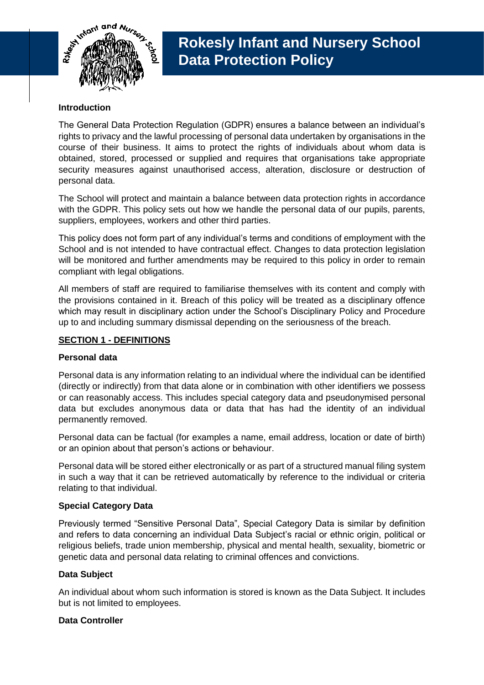

# **Introduction**

The General Data Protection Regulation (GDPR) ensures a balance between an individual's rights to privacy and the lawful processing of personal data undertaken by organisations in the course of their business. It aims to protect the rights of individuals about whom data is obtained, stored, processed or supplied and requires that organisations take appropriate security measures against unauthorised access, alteration, disclosure or destruction of personal data.

The School will protect and maintain a balance between data protection rights in accordance with the GDPR. This policy sets out how we handle the personal data of our pupils, parents, suppliers, employees, workers and other third parties.

This policy does not form part of any individual's terms and conditions of employment with the School and is not intended to have contractual effect. Changes to data protection legislation will be monitored and further amendments may be required to this policy in order to remain compliant with legal obligations.

All members of staff are required to familiarise themselves with its content and comply with the provisions contained in it. Breach of this policy will be treated as a disciplinary offence which may result in disciplinary action under the School's Disciplinary Policy and Procedure up to and including summary dismissal depending on the seriousness of the breach.

## **SECTION 1 - DEFINITIONS**

## **Personal data**

Personal data is any information relating to an individual where the individual can be identified (directly or indirectly) from that data alone or in combination with other identifiers we possess or can reasonably access. This includes special category data and pseudonymised personal data but excludes anonymous data or data that has had the identity of an individual permanently removed.

Personal data can be factual (for examples a name, email address, location or date of birth) or an opinion about that person's actions or behaviour.

Personal data will be stored either electronically or as part of a structured manual filing system in such a way that it can be retrieved automatically by reference to the individual or criteria relating to that individual.

## **Special Category Data**

Previously termed "Sensitive Personal Data", Special Category Data is similar by definition and refers to data concerning an individual Data Subject's racial or ethnic origin, political or religious beliefs, trade union membership, physical and mental health, sexuality, biometric or genetic data and personal data relating to criminal offences and convictions.

## **Data Subject**

An individual about whom such information is stored is known as the Data Subject. It includes but is not limited to employees.

## **Data Controller**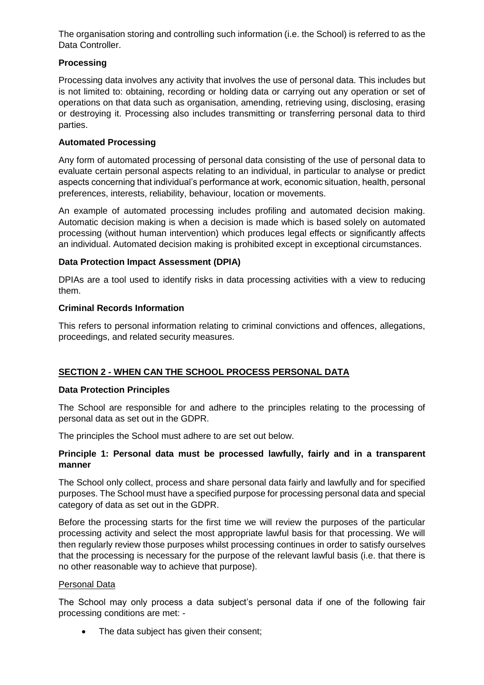The organisation storing and controlling such information (i.e. the School) is referred to as the Data Controller.

# **Processing**

Processing data involves any activity that involves the use of personal data. This includes but is not limited to: obtaining, recording or holding data or carrying out any operation or set of operations on that data such as organisation, amending, retrieving using, disclosing, erasing or destroying it. Processing also includes transmitting or transferring personal data to third parties.

# **Automated Processing**

Any form of automated processing of personal data consisting of the use of personal data to evaluate certain personal aspects relating to an individual, in particular to analyse or predict aspects concerning that individual's performance at work, economic situation, health, personal preferences, interests, reliability, behaviour, location or movements.

An example of automated processing includes profiling and automated decision making. Automatic decision making is when a decision is made which is based solely on automated processing (without human intervention) which produces legal effects or significantly affects an individual. Automated decision making is prohibited except in exceptional circumstances.

# **Data Protection Impact Assessment (DPIA)**

DPIAs are a tool used to identify risks in data processing activities with a view to reducing them.

# **Criminal Records Information**

This refers to personal information relating to criminal convictions and offences, allegations, proceedings, and related security measures.

# **SECTION 2 - WHEN CAN THE SCHOOL PROCESS PERSONAL DATA**

# **Data Protection Principles**

The School are responsible for and adhere to the principles relating to the processing of personal data as set out in the GDPR.

The principles the School must adhere to are set out below.

## **Principle 1: Personal data must be processed lawfully, fairly and in a transparent manner**

The School only collect, process and share personal data fairly and lawfully and for specified purposes. The School must have a specified purpose for processing personal data and special category of data as set out in the GDPR.

Before the processing starts for the first time we will review the purposes of the particular processing activity and select the most appropriate lawful basis for that processing. We will then regularly review those purposes whilst processing continues in order to satisfy ourselves that the processing is necessary for the purpose of the relevant lawful basis (i.e. that there is no other reasonable way to achieve that purpose).

## Personal Data

The School may only process a data subject's personal data if one of the following fair processing conditions are met: -

The data subject has given their consent;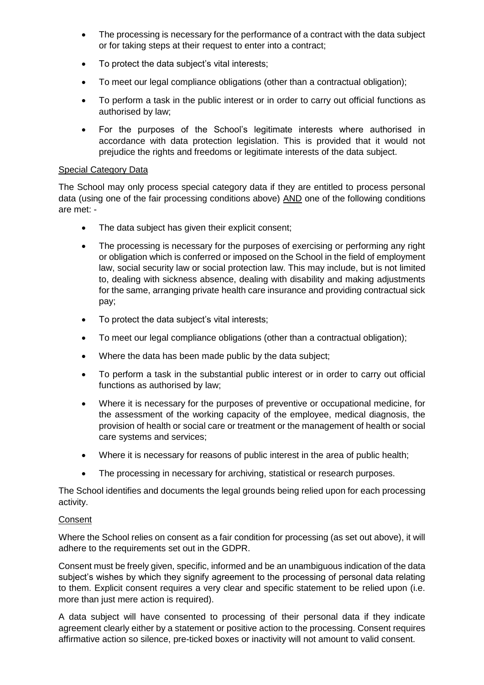- The processing is necessary for the performance of a contract with the data subject or for taking steps at their request to enter into a contract;
- To protect the data subject's vital interests;
- To meet our legal compliance obligations (other than a contractual obligation);
- To perform a task in the public interest or in order to carry out official functions as authorised by law;
- For the purposes of the School's legitimate interests where authorised in accordance with data protection legislation. This is provided that it would not prejudice the rights and freedoms or legitimate interests of the data subject.

## Special Category Data

The School may only process special category data if they are entitled to process personal data (using one of the fair processing conditions above) AND one of the following conditions are met: -

- The data subiect has given their explicit consent:
- The processing is necessary for the purposes of exercising or performing any right or obligation which is conferred or imposed on the School in the field of employment law, social security law or social protection law. This may include, but is not limited to, dealing with sickness absence, dealing with disability and making adjustments for the same, arranging private health care insurance and providing contractual sick pay;
- To protect the data subject's vital interests;
- To meet our legal compliance obligations (other than a contractual obligation);
- Where the data has been made public by the data subject;
- To perform a task in the substantial public interest or in order to carry out official functions as authorised by law;
- Where it is necessary for the purposes of preventive or occupational medicine, for the assessment of the working capacity of the employee, medical diagnosis, the provision of health or social care or treatment or the management of health or social care systems and services;
- Where it is necessary for reasons of public interest in the area of public health;
- The processing in necessary for archiving, statistical or research purposes.

The School identifies and documents the legal grounds being relied upon for each processing activity.

## **Consent**

Where the School relies on consent as a fair condition for processing (as set out above), it will adhere to the requirements set out in the GDPR.

Consent must be freely given, specific, informed and be an unambiguous indication of the data subject's wishes by which they signify agreement to the processing of personal data relating to them. Explicit consent requires a very clear and specific statement to be relied upon (i.e. more than just mere action is required).

A data subject will have consented to processing of their personal data if they indicate agreement clearly either by a statement or positive action to the processing. Consent requires affirmative action so silence, pre-ticked boxes or inactivity will not amount to valid consent.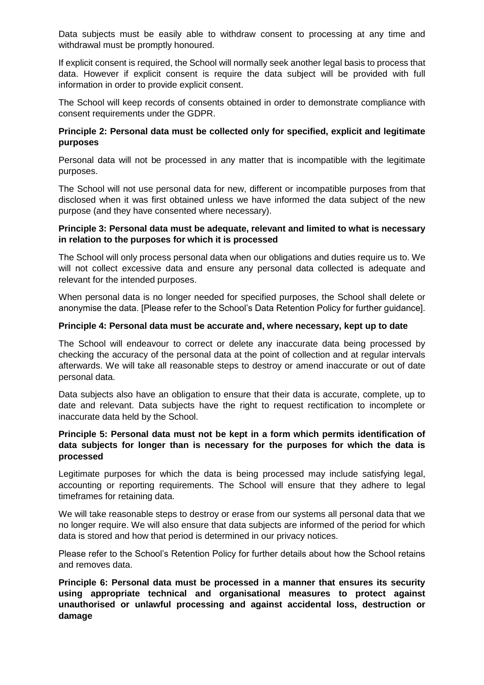Data subjects must be easily able to withdraw consent to processing at any time and withdrawal must be promptly honoured.

If explicit consent is required, the School will normally seek another legal basis to process that data. However if explicit consent is require the data subject will be provided with full information in order to provide explicit consent.

The School will keep records of consents obtained in order to demonstrate compliance with consent requirements under the GDPR.

## **Principle 2: Personal data must be collected only for specified, explicit and legitimate purposes**

Personal data will not be processed in any matter that is incompatible with the legitimate purposes.

The School will not use personal data for new, different or incompatible purposes from that disclosed when it was first obtained unless we have informed the data subject of the new purpose (and they have consented where necessary).

### **Principle 3: Personal data must be adequate, relevant and limited to what is necessary in relation to the purposes for which it is processed**

The School will only process personal data when our obligations and duties require us to. We will not collect excessive data and ensure any personal data collected is adequate and relevant for the intended purposes.

When personal data is no longer needed for specified purposes, the School shall delete or anonymise the data. [Please refer to the School's Data Retention Policy for further guidance].

### **Principle 4: Personal data must be accurate and, where necessary, kept up to date**

The School will endeavour to correct or delete any inaccurate data being processed by checking the accuracy of the personal data at the point of collection and at regular intervals afterwards. We will take all reasonable steps to destroy or amend inaccurate or out of date personal data.

Data subjects also have an obligation to ensure that their data is accurate, complete, up to date and relevant. Data subjects have the right to request rectification to incomplete or inaccurate data held by the School.

### **Principle 5: Personal data must not be kept in a form which permits identification of data subjects for longer than is necessary for the purposes for which the data is processed**

Legitimate purposes for which the data is being processed may include satisfying legal, accounting or reporting requirements. The School will ensure that they adhere to legal timeframes for retaining data.

We will take reasonable steps to destroy or erase from our systems all personal data that we no longer require. We will also ensure that data subjects are informed of the period for which data is stored and how that period is determined in our privacy notices.

Please refer to the School's Retention Policy for further details about how the School retains and removes data.

**Principle 6: Personal data must be processed in a manner that ensures its security using appropriate technical and organisational measures to protect against unauthorised or unlawful processing and against accidental loss, destruction or damage**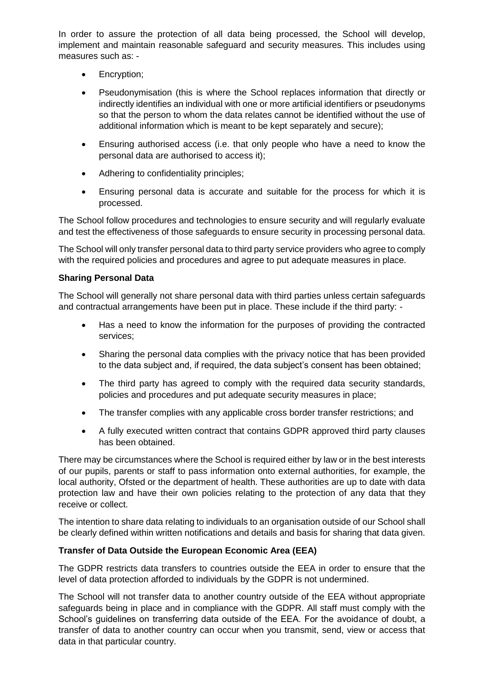In order to assure the protection of all data being processed, the School will develop, implement and maintain reasonable safeguard and security measures. This includes using measures such as: -

- Encryption;
- Pseudonymisation (this is where the School replaces information that directly or indirectly identifies an individual with one or more artificial identifiers or pseudonyms so that the person to whom the data relates cannot be identified without the use of additional information which is meant to be kept separately and secure);
- Ensuring authorised access (i.e. that only people who have a need to know the personal data are authorised to access it);
- Adhering to confidentiality principles;
- Ensuring personal data is accurate and suitable for the process for which it is processed.

The School follow procedures and technologies to ensure security and will regularly evaluate and test the effectiveness of those safeguards to ensure security in processing personal data.

The School will only transfer personal data to third party service providers who agree to comply with the required policies and procedures and agree to put adequate measures in place.

## **Sharing Personal Data**

The School will generally not share personal data with third parties unless certain safeguards and contractual arrangements have been put in place. These include if the third party: -

- Has a need to know the information for the purposes of providing the contracted services;
- Sharing the personal data complies with the privacy notice that has been provided to the data subject and, if required, the data subject's consent has been obtained;
- The third party has agreed to comply with the required data security standards, policies and procedures and put adequate security measures in place;
- The transfer complies with any applicable cross border transfer restrictions; and
- A fully executed written contract that contains GDPR approved third party clauses has been obtained.

There may be circumstances where the School is required either by law or in the best interests of our pupils, parents or staff to pass information onto external authorities, for example, the local authority, Ofsted or the department of health. These authorities are up to date with data protection law and have their own policies relating to the protection of any data that they receive or collect.

The intention to share data relating to individuals to an organisation outside of our School shall be clearly defined within written notifications and details and basis for sharing that data given.

## **Transfer of Data Outside the European Economic Area (EEA)**

The GDPR restricts data transfers to countries outside the EEA in order to ensure that the level of data protection afforded to individuals by the GDPR is not undermined.

The School will not transfer data to another country outside of the EEA without appropriate safeguards being in place and in compliance with the GDPR. All staff must comply with the School's guidelines on transferring data outside of the EEA. For the avoidance of doubt, a transfer of data to another country can occur when you transmit, send, view or access that data in that particular country.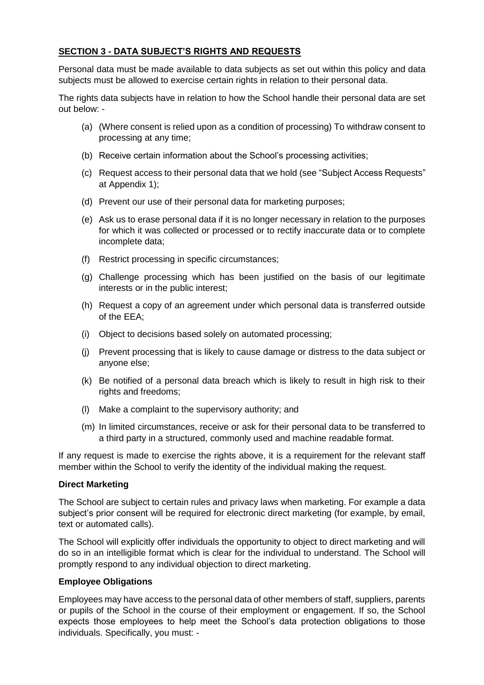# **SECTION 3 - DATA SUBJECT'S RIGHTS AND REQUESTS**

Personal data must be made available to data subjects as set out within this policy and data subjects must be allowed to exercise certain rights in relation to their personal data.

The rights data subjects have in relation to how the School handle their personal data are set out below: -

- (a) (Where consent is relied upon as a condition of processing) To withdraw consent to processing at any time;
- (b) Receive certain information about the School's processing activities;
- (c) Request access to their personal data that we hold (see "Subject Access Requests" at Appendix 1);
- (d) Prevent our use of their personal data for marketing purposes;
- (e) Ask us to erase personal data if it is no longer necessary in relation to the purposes for which it was collected or processed or to rectify inaccurate data or to complete incomplete data;
- (f) Restrict processing in specific circumstances;
- (g) Challenge processing which has been justified on the basis of our legitimate interests or in the public interest;
- (h) Request a copy of an agreement under which personal data is transferred outside of the EEA;
- (i) Object to decisions based solely on automated processing;
- (j) Prevent processing that is likely to cause damage or distress to the data subject or anyone else;
- (k) Be notified of a personal data breach which is likely to result in high risk to their rights and freedoms;
- (l) Make a complaint to the supervisory authority; and
- (m) In limited circumstances, receive or ask for their personal data to be transferred to a third party in a structured, commonly used and machine readable format.

If any request is made to exercise the rights above, it is a requirement for the relevant staff member within the School to verify the identity of the individual making the request.

## **Direct Marketing**

The School are subject to certain rules and privacy laws when marketing. For example a data subject's prior consent will be required for electronic direct marketing (for example, by email, text or automated calls).

The School will explicitly offer individuals the opportunity to object to direct marketing and will do so in an intelligible format which is clear for the individual to understand. The School will promptly respond to any individual objection to direct marketing.

# **Employee Obligations**

Employees may have access to the personal data of other members of staff, suppliers, parents or pupils of the School in the course of their employment or engagement. If so, the School expects those employees to help meet the School's data protection obligations to those individuals. Specifically, you must: -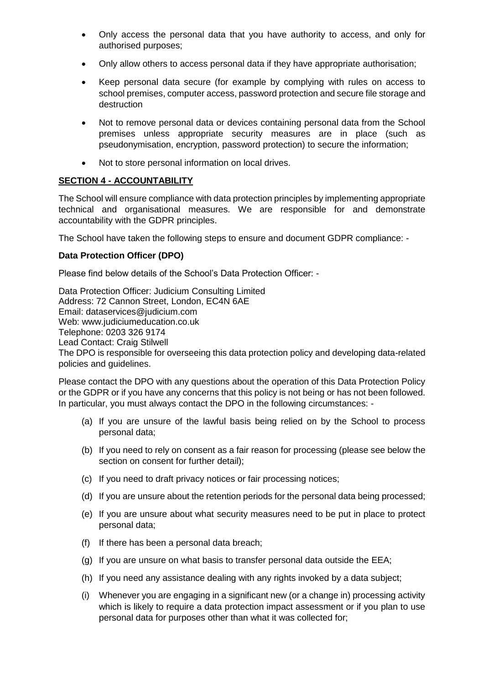- Only access the personal data that you have authority to access, and only for authorised purposes;
- Only allow others to access personal data if they have appropriate authorisation;
- Keep personal data secure (for example by complying with rules on access to school premises, computer access, password protection and secure file storage and destruction
- Not to remove personal data or devices containing personal data from the School premises unless appropriate security measures are in place (such as pseudonymisation, encryption, password protection) to secure the information;
- Not to store personal information on local drives.

# **SECTION 4 - ACCOUNTABILITY**

The School will ensure compliance with data protection principles by implementing appropriate technical and organisational measures. We are responsible for and demonstrate accountability with the GDPR principles.

The School have taken the following steps to ensure and document GDPR compliance: -

## **Data Protection Officer (DPO)**

Please find below details of the School's Data Protection Officer: -

Data Protection Officer: Judicium Consulting Limited Address: 72 Cannon Street, London, EC4N 6AE Email: [dataservices@judicium.com](mailto:dataservices@judicium.com) Web: www.judiciumeducation.co.uk Telephone: 0203 326 9174 Lead Contact: Craig Stilwell The DPO is responsible for overseeing this data protection policy and developing data-related policies and guidelines.

Please contact the DPO with any questions about the operation of this Data Protection Policy or the GDPR or if you have any concerns that this policy is not being or has not been followed. In particular, you must always contact the DPO in the following circumstances: -

- (a) If you are unsure of the lawful basis being relied on by the School to process personal data;
- (b) If you need to rely on consent as a fair reason for processing (please see below the section on consent for further detail):
- (c) If you need to draft privacy notices or fair processing notices;
- (d) If you are unsure about the retention periods for the personal data being processed;
- (e) If you are unsure about what security measures need to be put in place to protect personal data;
- (f) If there has been a personal data breach;
- (g) If you are unsure on what basis to transfer personal data outside the EEA;
- (h) If you need any assistance dealing with any rights invoked by a data subject;
- (i) Whenever you are engaging in a significant new (or a change in) processing activity which is likely to require a data protection impact assessment or if you plan to use personal data for purposes other than what it was collected for;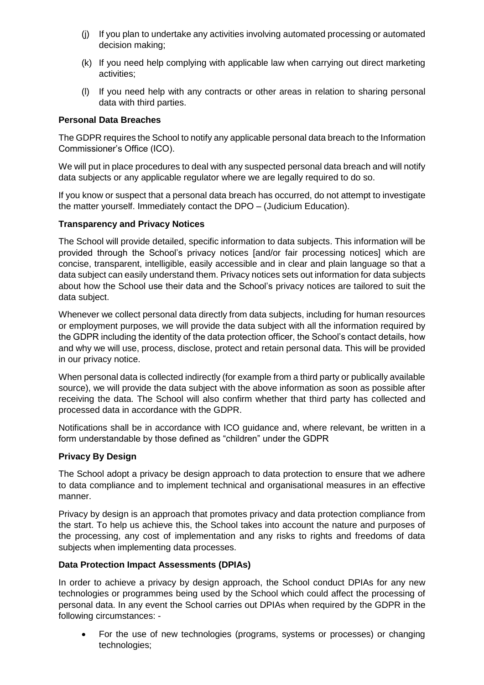- (j) If you plan to undertake any activities involving automated processing or automated decision making;
- (k) If you need help complying with applicable law when carrying out direct marketing activities;
- (l) If you need help with any contracts or other areas in relation to sharing personal data with third parties.

## **Personal Data Breaches**

The GDPR requires the School to notify any applicable personal data breach to the Information Commissioner's Office (ICO).

We will put in place procedures to deal with any suspected personal data breach and will notify data subjects or any applicable regulator where we are legally required to do so.

If you know or suspect that a personal data breach has occurred, do not attempt to investigate the matter yourself. Immediately contact the DPO – (Judicium Education).

## **Transparency and Privacy Notices**

The School will provide detailed, specific information to data subjects. This information will be provided through the School's privacy notices [and/or fair processing notices] which are concise, transparent, intelligible, easily accessible and in clear and plain language so that a data subject can easily understand them. Privacy notices sets out information for data subjects about how the School use their data and the School's privacy notices are tailored to suit the data subject.

Whenever we collect personal data directly from data subjects, including for human resources or employment purposes, we will provide the data subject with all the information required by the GDPR including the identity of the data protection officer, the School's contact details, how and why we will use, process, disclose, protect and retain personal data. This will be provided in our privacy notice.

When personal data is collected indirectly (for example from a third party or publically available source), we will provide the data subject with the above information as soon as possible after receiving the data. The School will also confirm whether that third party has collected and processed data in accordance with the GDPR.

Notifications shall be in accordance with ICO guidance and, where relevant, be written in a form understandable by those defined as "children" under the GDPR

## **Privacy By Design**

The School adopt a privacy be design approach to data protection to ensure that we adhere to data compliance and to implement technical and organisational measures in an effective manner.

Privacy by design is an approach that promotes privacy and data protection compliance from the start. To help us achieve this, the School takes into account the nature and purposes of the processing, any cost of implementation and any risks to rights and freedoms of data subjects when implementing data processes.

# **Data Protection Impact Assessments (DPIAs)**

In order to achieve a privacy by design approach, the School conduct DPIAs for any new technologies or programmes being used by the School which could affect the processing of personal data. In any event the School carries out DPIAs when required by the GDPR in the following circumstances: -

 For the use of new technologies (programs, systems or processes) or changing technologies;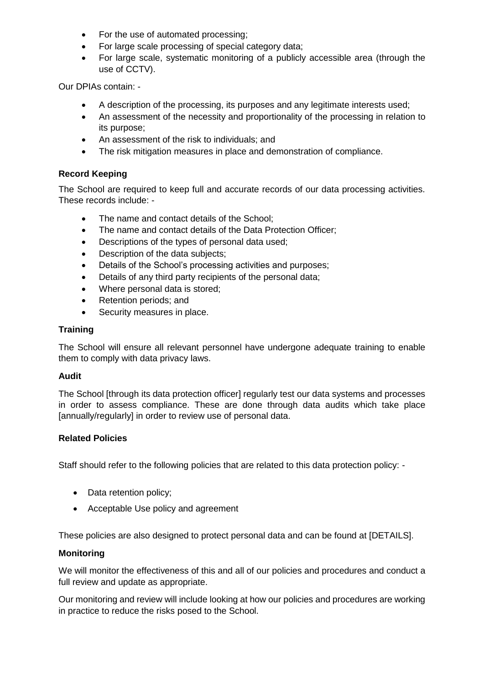- For the use of automated processing;
- For large scale processing of special category data;
- For large scale, systematic monitoring of a publicly accessible area (through the use of CCTV).

Our DPIAs contain: -

- A description of the processing, its purposes and any legitimate interests used;
- An assessment of the necessity and proportionality of the processing in relation to its purpose;
- An assessment of the risk to individuals; and
- The risk mitigation measures in place and demonstration of compliance.

## **Record Keeping**

The School are required to keep full and accurate records of our data processing activities. These records include: -

- The name and contact details of the School;
- The name and contact details of the Data Protection Officer:
- Descriptions of the types of personal data used;
- Description of the data subjects;
- Details of the School's processing activities and purposes;
- Details of any third party recipients of the personal data;
- Where personal data is stored;
- Retention periods; and
- Security measures in place.

## **Training**

The School will ensure all relevant personnel have undergone adequate training to enable them to comply with data privacy laws.

## **Audit**

The School [through its data protection officer] regularly test our data systems and processes in order to assess compliance. These are done through data audits which take place [annually/regularly] in order to review use of personal data.

## **Related Policies**

Staff should refer to the following policies that are related to this data protection policy: -

- Data retention policy;
- Acceptable Use policy and agreement

These policies are also designed to protect personal data and can be found at [DETAILS].

## **Monitoring**

We will monitor the effectiveness of this and all of our policies and procedures and conduct a full review and update as appropriate.

Our monitoring and review will include looking at how our policies and procedures are working in practice to reduce the risks posed to the School.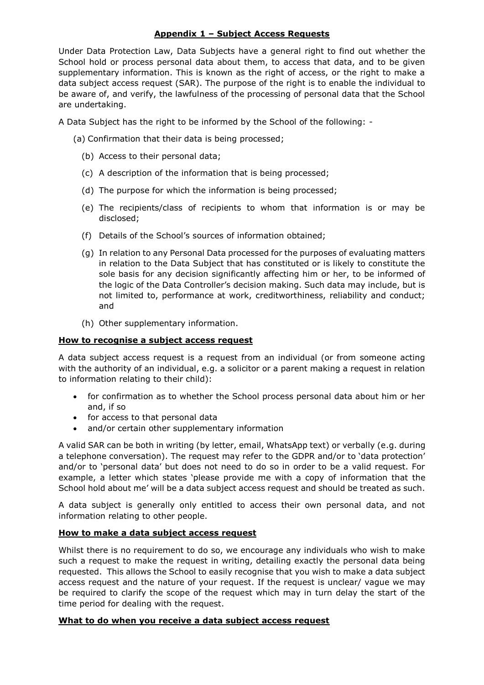## **Appendix 1 – Subject Access Requests**

Under Data Protection Law, Data Subjects have a general right to find out whether the School hold or process personal data about them, to access that data, and to be given supplementary information. This is known as the right of access, or the right to make a data subject access request (SAR). The purpose of the right is to enable the individual to be aware of, and verify, the lawfulness of the processing of personal data that the School are undertaking.

A Data Subject has the right to be informed by the School of the following: -

- (a) Confirmation that their data is being processed;
	- (b) Access to their personal data;
	- (c) A description of the information that is being processed;
	- (d) The purpose for which the information is being processed;
	- (e) The recipients/class of recipients to whom that information is or may be disclosed;
	- (f) Details of the School's sources of information obtained;
	- (g) In relation to any Personal Data processed for the purposes of evaluating matters in relation to the Data Subject that has constituted or is likely to constitute the sole basis for any decision significantly affecting him or her, to be informed of the logic of the Data Controller's decision making. Such data may include, but is not limited to, performance at work, creditworthiness, reliability and conduct; and
	- (h) Other supplementary information.

### **How to recognise a subject access request**

A data subject access request is a request from an individual (or from someone acting with the authority of an individual, e.g. a solicitor or a parent making a request in relation to information relating to their child):

- for confirmation as to whether the School process personal data about him or her and, if so
- for access to that personal data
- and/or certain other supplementary information

A valid SAR can be both in writing (by letter, email, WhatsApp text) or verbally (e.g. during a telephone conversation). The request may refer to the GDPR and/or to 'data protection' and/or to 'personal data' but does not need to do so in order to be a valid request. For example, a letter which states 'please provide me with a copy of information that the School hold about me' will be a data subject access request and should be treated as such.

A data subject is generally only entitled to access their own personal data, and not information relating to other people.

## **How to make a data subject access request**

Whilst there is no requirement to do so, we encourage any individuals who wish to make such a request to make the request in writing, detailing exactly the personal data being requested. This allows the School to easily recognise that you wish to make a data subject access request and the nature of your request. If the request is unclear/ vague we may be required to clarify the scope of the request which may in turn delay the start of the time period for dealing with the request.

#### **What to do when you receive a data subject access request**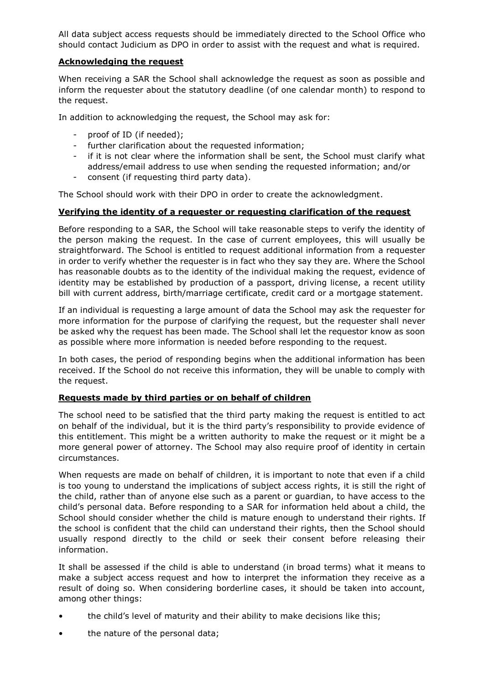All data subject access requests should be immediately directed to the School Office who should contact Judicium as DPO in order to assist with the request and what is required.

### **Acknowledging the request**

When receiving a SAR the School shall acknowledge the request as soon as possible and inform the requester about the statutory deadline (of one calendar month) to respond to the request.

In addition to acknowledging the request, the School may ask for:

- proof of ID (if needed);
- further clarification about the requested information;
- if it is not clear where the information shall be sent, the School must clarify what address/email address to use when sending the requested information; and/or
- consent (if requesting third party data).

The School should work with their DPO in order to create the acknowledgment.

### **Verifying the identity of a requester or requesting clarification of the request**

Before responding to a SAR, the School will take reasonable steps to verify the identity of the person making the request. In the case of current employees, this will usually be straightforward. The School is entitled to request additional information from a requester in order to verify whether the requester is in fact who they say they are. Where the School has reasonable doubts as to the identity of the individual making the request, evidence of identity may be established by production of a passport, driving license, a recent utility bill with current address, birth/marriage certificate, credit card or a mortgage statement.

If an individual is requesting a large amount of data the School may ask the requester for more information for the purpose of clarifying the request, but the requester shall never be asked why the request has been made. The School shall let the requestor know as soon as possible where more information is needed before responding to the request.

In both cases, the period of responding begins when the additional information has been received. If the School do not receive this information, they will be unable to comply with the request.

#### **Requests made by third parties or on behalf of children**

The school need to be satisfied that the third party making the request is entitled to act on behalf of the individual, but it is the third party's responsibility to provide evidence of this entitlement. This might be a written authority to make the request or it might be a more general power of attorney. The School may also require proof of identity in certain circumstances.

When requests are made on behalf of children, it is important to note that even if a child is too young to understand the implications of subject access rights, it is still the right of the child, rather than of anyone else such as a parent or guardian, to have access to the child's personal data. Before responding to a SAR for information held about a child, the School should consider whether the child is mature enough to understand their rights. If the school is confident that the child can understand their rights, then the School should usually respond directly to the child or seek their consent before releasing their information.

It shall be assessed if the child is able to understand (in broad terms) what it means to make a subject access request and how to interpret the information they receive as a result of doing so. When considering borderline cases, it should be taken into account, among other things:

- the child's level of maturity and their ability to make decisions like this;
- the nature of the personal data;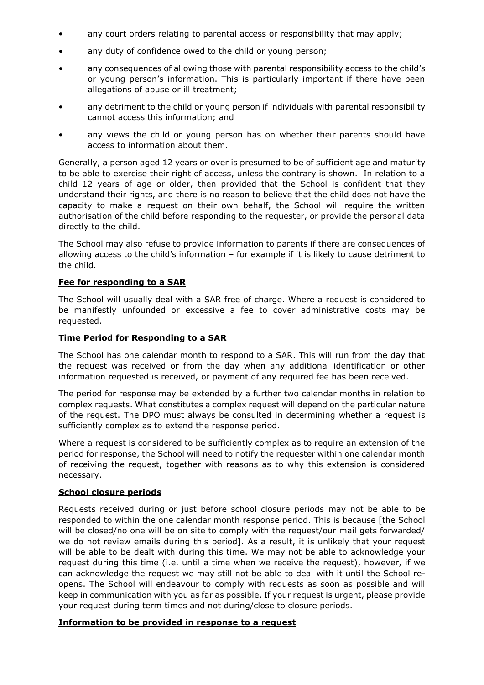- any court orders relating to parental access or responsibility that may apply;
- any duty of confidence owed to the child or young person;
- any consequences of allowing those with parental responsibility access to the child's or young person's information. This is particularly important if there have been allegations of abuse or ill treatment;
- any detriment to the child or young person if individuals with parental responsibility cannot access this information; and
- any views the child or young person has on whether their parents should have access to information about them.

Generally, a person aged 12 years or over is presumed to be of sufficient age and maturity to be able to exercise their right of access, unless the contrary is shown. In relation to a child 12 years of age or older, then provided that the School is confident that they understand their rights, and there is no reason to believe that the child does not have the capacity to make a request on their own behalf, the School will require the written authorisation of the child before responding to the requester, or provide the personal data directly to the child.

The School may also refuse to provide information to parents if there are consequences of allowing access to the child's information – for example if it is likely to cause detriment to the child.

### **Fee for responding to a SAR**

The School will usually deal with a SAR free of charge. Where a request is considered to be manifestly unfounded or excessive a fee to cover administrative costs may be requested.

### **Time Period for Responding to a SAR**

The School has one calendar month to respond to a SAR. This will run from the day that the request was received or from the day when any additional identification or other information requested is received, or payment of any required fee has been received.

The period for response may be extended by a further two calendar months in relation to complex requests. What constitutes a complex request will depend on the particular nature of the request. The DPO must always be consulted in determining whether a request is sufficiently complex as to extend the response period.

Where a request is considered to be sufficiently complex as to require an extension of the period for response, the School will need to notify the requester within one calendar month of receiving the request, together with reasons as to why this extension is considered necessary.

#### **School closure periods**

Requests received during or just before school closure periods may not be able to be responded to within the one calendar month response period. This is because [the School will be closed/no one will be on site to comply with the request/our mail gets forwarded/ we do not review emails during this period]. As a result, it is unlikely that your request will be able to be dealt with during this time. We may not be able to acknowledge your request during this time (i.e. until a time when we receive the request), however, if we can acknowledge the request we may still not be able to deal with it until the School reopens. The School will endeavour to comply with requests as soon as possible and will keep in communication with you as far as possible. If your request is urgent, please provide your request during term times and not during/close to closure periods.

#### **Information to be provided in response to a request**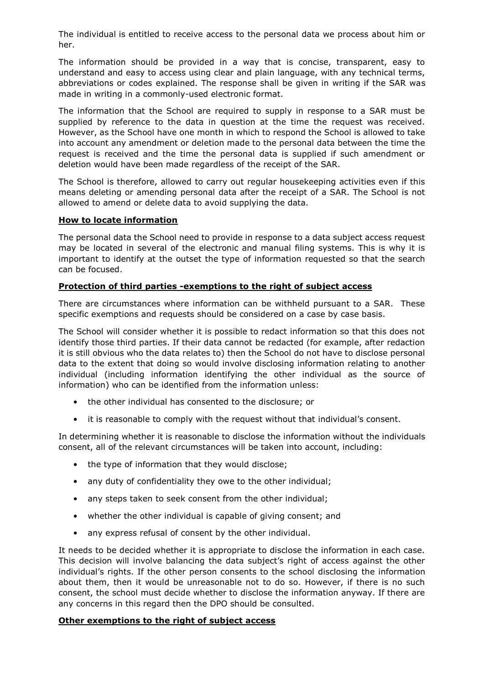The individual is entitled to receive access to the personal data we process about him or her.

The information should be provided in a way that is concise, transparent, easy to understand and easy to access using clear and plain language, with any technical terms, abbreviations or codes explained. The response shall be given in writing if the SAR was made in writing in a commonly-used electronic format.

The information that the School are required to supply in response to a SAR must be supplied by reference to the data in question at the time the request was received. However, as the School have one month in which to respond the School is allowed to take into account any amendment or deletion made to the personal data between the time the request is received and the time the personal data is supplied if such amendment or deletion would have been made regardless of the receipt of the SAR.

The School is therefore, allowed to carry out regular housekeeping activities even if this means deleting or amending personal data after the receipt of a SAR. The School is not allowed to amend or delete data to avoid supplying the data.

### **How to locate information**

The personal data the School need to provide in response to a data subject access request may be located in several of the electronic and manual filing systems. This is why it is important to identify at the outset the type of information requested so that the search can be focused.

### **Protection of third parties -exemptions to the right of subject access**

There are circumstances where information can be withheld pursuant to a SAR. These specific exemptions and requests should be considered on a case by case basis.

The School will consider whether it is possible to redact information so that this does not identify those third parties. If their data cannot be redacted (for example, after redaction it is still obvious who the data relates to) then the School do not have to disclose personal data to the extent that doing so would involve disclosing information relating to another individual (including information identifying the other individual as the source of information) who can be identified from the information unless:

- the other individual has consented to the disclosure; or
- it is reasonable to comply with the request without that individual's consent.

In determining whether it is reasonable to disclose the information without the individuals consent, all of the relevant circumstances will be taken into account, including:

- the type of information that they would disclose;
- any duty of confidentiality they owe to the other individual;
- any steps taken to seek consent from the other individual;
- whether the other individual is capable of giving consent; and
- any express refusal of consent by the other individual.

It needs to be decided whether it is appropriate to disclose the information in each case. This decision will involve balancing the data subject's right of access against the other individual's rights. If the other person consents to the school disclosing the information about them, then it would be unreasonable not to do so. However, if there is no such consent, the school must decide whether to disclose the information anyway. If there are any concerns in this regard then the DPO should be consulted.

## **Other exemptions to the right of subject access**